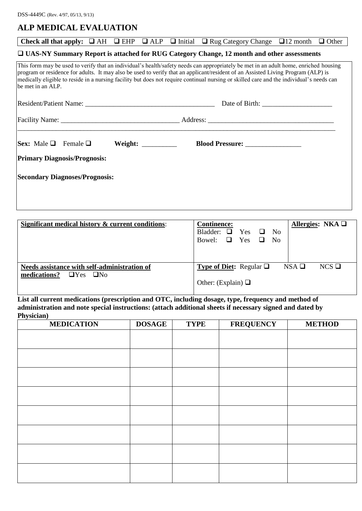## **ALP MEDICAL EVALUATION**

|                                                                                             |  |  |                       |  | Check all that apply: $\Box$ AH $\Box$ EHP $\Box$ ALP $\Box$ Initial $\Box$ Rug Category Change $\Box$ 12 month $\Box$ Other                                                                                                                                                                                                                                                                                         |  |  |  |  |
|---------------------------------------------------------------------------------------------|--|--|-----------------------|--|----------------------------------------------------------------------------------------------------------------------------------------------------------------------------------------------------------------------------------------------------------------------------------------------------------------------------------------------------------------------------------------------------------------------|--|--|--|--|
| □ UAS-NY Summary Report is attached for RUG Category Change, 12 month and other assessments |  |  |                       |  |                                                                                                                                                                                                                                                                                                                                                                                                                      |  |  |  |  |
| be met in an ALP.                                                                           |  |  |                       |  | This form may be used to verify that an individual's health/safety needs can appropriately be met in an adult home, enriched housing<br>program or residence for adults. It may also be used to verify that an applicant/resident of an Assisted Living Program (ALP) is<br>medically eligible to reside in a nursing facility but does not require continual nursing or skilled care and the individual's needs can |  |  |  |  |
|                                                                                             |  |  |                       |  |                                                                                                                                                                                                                                                                                                                                                                                                                      |  |  |  |  |
|                                                                                             |  |  |                       |  |                                                                                                                                                                                                                                                                                                                                                                                                                      |  |  |  |  |
| $\left  \text{Sex: Male} \; \Box \right $ Female $\Box$                                     |  |  | Weight: New York 1997 |  | <b>Blood Pressure:</b>                                                                                                                                                                                                                                                                                                                                                                                               |  |  |  |  |
| <b>Primary Diagnosis/Prognosis:</b>                                                         |  |  |                       |  |                                                                                                                                                                                                                                                                                                                                                                                                                      |  |  |  |  |
| <b>Secondary Diagnoses/Prognosis:</b>                                                       |  |  |                       |  |                                                                                                                                                                                                                                                                                                                                                                                                                      |  |  |  |  |

| Significant medical history & current conditions:                                 | <b>Continence:</b><br>Allergies: NKA $\Box$<br>Bladder: $\Box$ Yes $\Box$ No<br>Bowel: $\Box$ Yes $\Box$ No |
|-----------------------------------------------------------------------------------|-------------------------------------------------------------------------------------------------------------|
| Needs assistance with self-administration of<br>medications? $\Box$ Yes $\Box$ No | $NSA \square$<br>$NCS$ $\square$<br><b>Type of Diet:</b> Regular $\Box$<br>Other: (Explain) $\Box$          |

**List all current medications (prescription and OTC, including dosage, type, frequency and method of administration and note special instructions: (attach additional sheets if necessary signed and dated by Physician)**

| <b>MEDICATION</b> | <b>DOSAGE</b> | <b>TYPE</b> | <b>FREQUENCY</b> | <b>METHOD</b> |
|-------------------|---------------|-------------|------------------|---------------|
|                   |               |             |                  |               |
|                   |               |             |                  |               |
|                   |               |             |                  |               |
|                   |               |             |                  |               |
|                   |               |             |                  |               |
|                   |               |             |                  |               |
|                   |               |             |                  |               |
|                   |               |             |                  |               |
|                   |               |             |                  |               |
|                   |               |             |                  |               |
|                   |               |             |                  |               |
|                   |               |             |                  |               |
|                   |               |             |                  |               |
|                   |               |             |                  |               |